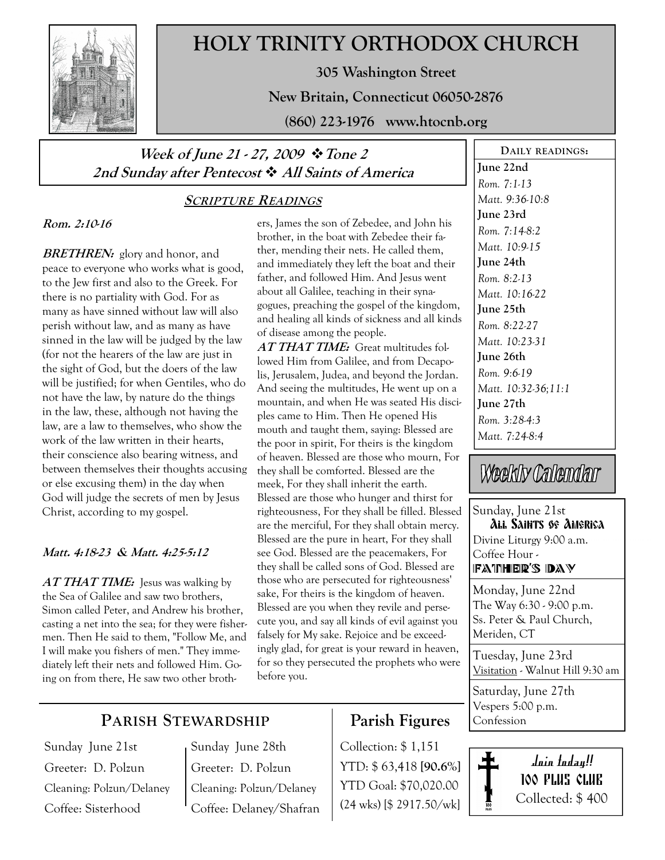

# HOLY TRINITY ORTHODOX CHURCH

305 Washington Street

New Britain, Connecticut 06050-2876

(860) 223-1976 www.htocnb.org

## Week of June 21 - 27, 2009  $\cdot \cdot$  Tone 2 2nd Sunday after Pentecost  $\cdot$  All Saints of America

#### SCRIPTURE READINGS

#### Rom. 2:10-16

**BRETHREN:** glory and honor, and peace to everyone who works what is good, to the Jew first and also to the Greek. For there is no partiality with God. For as many as have sinned without law will also perish without law, and as many as have sinned in the law will be judged by the law (for not the hearers of the law are just in the sight of God, but the doers of the law will be justified; for when Gentiles, who do not have the law, by nature do the things in the law, these, although not having the law, are a law to themselves, who show the work of the law written in their hearts, their conscience also bearing witness, and between themselves their thoughts accusing or else excusing them) in the day when God will judge the secrets of men by Jesus Christ, according to my gospel.

#### Matt. 4:18-23 & Matt. 4:25-5:12

 $ATTHAT TIME:$  Jesus was walking by the Sea of Galilee and saw two brothers, Simon called Peter, and Andrew his brother, casting a net into the sea; for they were fishermen. Then He said to them, "Follow Me, and I will make you fishers of men." They immediately left their nets and followed Him. Going on from there, He saw two other brothers, James the son of Zebedee, and John his brother, in the boat with Zebedee their father, mending their nets. He called them, and immediately they left the boat and their father, and followed Him. And Jesus went about all Galilee, teaching in their synagogues, preaching the gospel of the kingdom, and healing all kinds of sickness and all kinds of disease among the people.

AT THAT TIME: Great multitudes followed Him from Galilee, and from Decapolis, Jerusalem, Judea, and beyond the Jordan. And seeing the multitudes, He went up on a mountain, and when He was seated His disciples came to Him. Then He opened His mouth and taught them, saying: Blessed are the poor in spirit, For theirs is the kingdom of heaven. Blessed are those who mourn, For they shall be comforted. Blessed are the meek, For they shall inherit the earth. Blessed are those who hunger and thirst for righteousness, For they shall be filled. Blessed are the merciful, For they shall obtain mercy. Blessed are the pure in heart, For they shall see God. Blessed are the peacemakers, For they shall be called sons of God. Blessed are those who are persecuted for righteousness' sake, For theirs is the kingdom of heaven. Blessed are you when they revile and persecute you, and say all kinds of evil against you falsely for My sake. Rejoice and be exceedingly glad, for great is your reward in heaven, for so they persecuted the prophets who were before you.

#### June 22nd Rom. 7:1-13 Matt. 9:36-10:8 June 23rd Rom. 7:14-8:2 Matt. 10:9-15 June 24th Rom. 8:2-13 Matt. 10:16-22 June 25th Rom. 8:22-27 Matt. 10:23-31 June 26th Rom. 9:6-19 Matt. 10:32-36;11:1 June 27th Rom. 3:28-4:3 Matt. 7:24-8:4

DAILY READINGS:

# Weekly Calendar

Sunday, June 21st All Saints of America Divine Liturgy 9:00 a.m. Coffee Hour - FATHER'S DAY

Monday, June 22nd The Way 6:30 - 9:00 p.m. Ss. Peter & Paul Church, Meriden, CT

Tuesday, June 23rd Visitation - Walnut Hill 9:30 am

Saturday, June 27th Vespers 5:00 p.m. Confession



### PARISH STEWARDSHIP

Sunday June 21st Greeter: D. Polzun Cleaning: Polzun/Delaney Coffee: Sisterhood

Sunday June 28th Greeter: D. Polzun Cleaning: Polzun/Delaney Coffee: Delaney/Shafran

# Parish Figures

Collection: \$ 1,151 YTD: \$ 63,418 [90.6%] YTD Goal: \$70,020.00 (24 wks) [\$ 2917.50/wk]